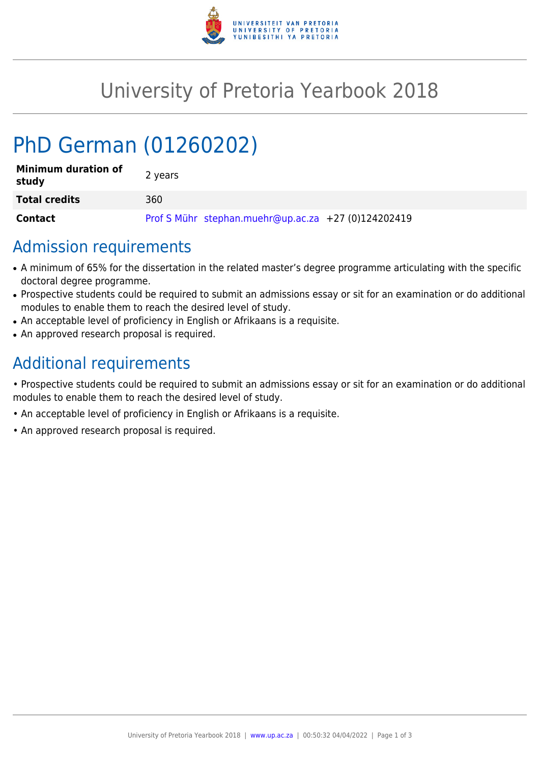

## University of Pretoria Yearbook 2018

# PhD German (01260202)

| <b>Minimum duration of</b><br>study | 2 years                                             |
|-------------------------------------|-----------------------------------------------------|
| <b>Total credits</b>                | 360                                                 |
| Contact                             | Prof S Mühr stephan.muehr@up.ac.za +27 (0)124202419 |

### Admission requirements

- A minimum of 65% for the dissertation in the related master's degree programme articulating with the specific doctoral degree programme.
- Prospective students could be required to submit an admissions essay or sit for an examination or do additional modules to enable them to reach the desired level of study.
- An acceptable level of proficiency in English or Afrikaans is a requisite.
- An approved research proposal is required.

### Additional requirements

• Prospective students could be required to submit an admissions essay or sit for an examination or do additional modules to enable them to reach the desired level of study.

- An acceptable level of proficiency in English or Afrikaans is a requisite.
- An approved research proposal is required.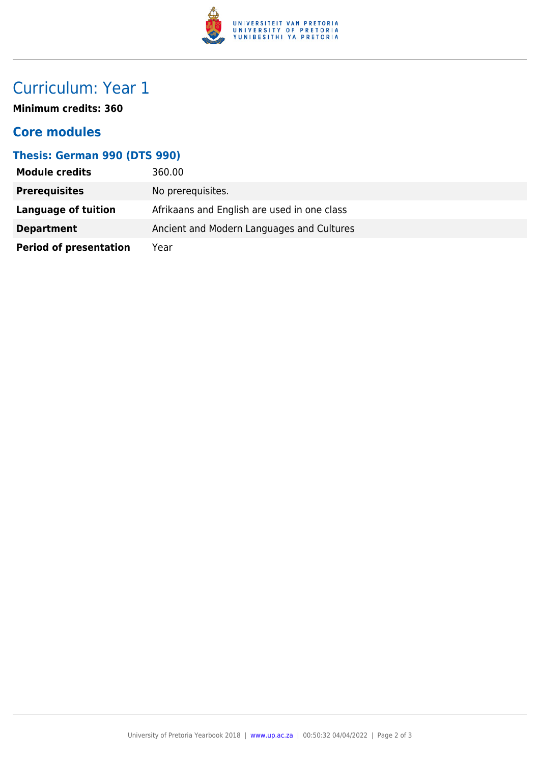

### Curriculum: Year 1

**Minimum credits: 360**

#### **Core modules**

#### **Thesis: German 990 (DTS 990)**

| <b>Module credits</b>         | 360.00                                      |
|-------------------------------|---------------------------------------------|
| <b>Prerequisites</b>          | No prerequisites.                           |
| Language of tuition           | Afrikaans and English are used in one class |
| <b>Department</b>             | Ancient and Modern Languages and Cultures   |
| <b>Period of presentation</b> | Year                                        |